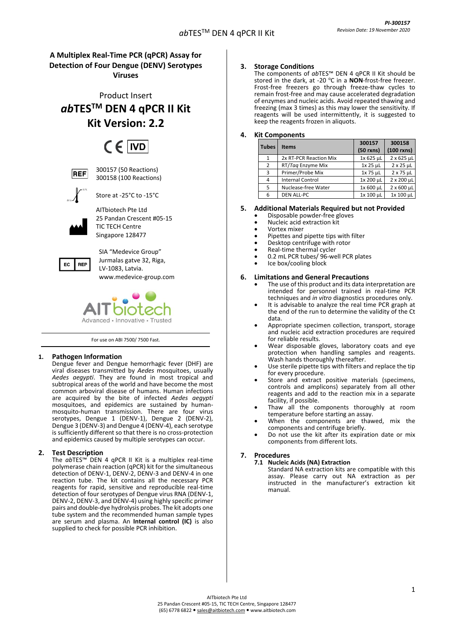## **A Multiplex Real-Time PCR (qPCR) Assay for Detection of Four Dengue (DENV) Serotypes Viruses**

Product Insert *ab***TESTM DEN 4 qPCR II Kit Kit Version: 2.2**

# $CF$  IVD

**REF** 

300157 (50 Reactions) 300158 (100 Reactions)



Store at -25°C to -15°C

AITbiotech Pte Ltd

25 Pandan Crescent #05-15 TIC TECH Centre Singapore 128477



SIA "Medevice Group" Jurmalas gatve 32, Riga, LV-1083, Latvia. [www.medevice-group.com](http://www.medevice-group.com/)



For use on ABI 7500/ 7500 Fast.

## **1. Pathogen Information**

Dengue fever and Dengue hemorrhagic fever (DHF) are viral diseases transmitted by *Aedes* mosquitoes, usually *Aedes aegypti*. They are found in most tropical and subtropical areas of the world and have become the most common arboviral disease of humans. Human infections are acquired by the bite of infected *Aedes aegypti* mosquitoes, and epidemics are sustained by humanmosquito-human transmission. There are four virus serotypes, Dengue 1 (DENV-1), Dengue 2 (DENV-2), Dengue 3 (DENV-3) and Dengue 4 (DENV-4), each serotype is sufficiently different so that there is no cross-protection and epidemics caused by multiple serotypes can occur.

## **2. Test Description**

The *ab*TES™ DEN 4 qPCR II Kit is a multiplex real-time polymerase chain reaction (qPCR) kit for the simultaneous detection of DENV-1, DENV-2, DENV-3 and DENV-4 in one reaction tube. The kit contains all the necessary PCR reagents for rapid, sensitive and reproducible real-time detection of four serotypes of Dengue virus RNA (DENV-1, DENV-2, DENV-3, and DENV-4) using highly specific primer pairs and double-dye hydrolysis probes. The kit adopts one tube system and the recommended human sample types are serum and plasma. An **Internal control (IC)** is also supplied to check for possible PCR inhibition.

## **3. Storage Conditions**

The components of *ab*TES™ DEN 4 qPCR II Kit should be stored in the dark, at -20 °C in a **NON**-frost-free freezer. Frost-free freezers go through freeze-thaw cycles to remain frost-free and may cause accelerated degradation of enzymes and nucleic acids. Avoid repeated thawing and freezing (max 3 times) as this may lower the sensitivity. If reagents will be used intermittently, it is suggested to keep the reagents frozen in aliquots.

## **4. Kit Components**

| <b>Tubes</b> | <b>Items</b>            | 300157          | 300158            |  |
|--------------|-------------------------|-----------------|-------------------|--|
|              |                         | $(50$ rxns)     | $(100$ rxns)      |  |
| 1            | 2x RT-PCR Reaction Mix  | 1x 625 µL       | 2 x 625 µL        |  |
| 2            | RT/Tag Enzyme Mix       | $1x$ 25 $\mu$ L | $2 \times 25$ µL  |  |
| 3            | Primer/Probe Mix        | 1x 75 µL        | $2 \times 75$ µL  |  |
| 4            | <b>Internal Control</b> | 1x 200 µL       | 2 x 200 µL        |  |
| 5            | Nuclease-free Water     | 1x 600 µL       | $2 \times 600$ µL |  |
| 6            | <b>DEN ALL-PC</b>       | 1x 100 µL       | 1x 100 µL         |  |
|              |                         |                 |                   |  |

## **5. Additional Materials Required but not Provided**

- Disposable powder-free gloves
- Nucleic acid extraction kit
- Vortex mixer
- Pipettes and pipette tips with filter
- Desktop centrifuge with rotor
- Real-time thermal cycler
- 0.2 mL PCR tubes/ 96-well PCR plates
- Ice box/cooling block

#### **6. Limitations and General Precautions**

- The use of this product and its data interpretation are intended for personnel trained in real-time PCR techniques and *in vitro* diagnostics procedures only.
- It is advisable to analyze the real time PCR graph at the end of the run to determine the validity of the Ct data.
- Appropriate specimen collection, transport, storage and nucleic acid extraction procedures are required for reliable results.
- Wear disposable gloves, laboratory coats and eye protection when handling samples and reagents. Wash hands thoroughly thereafter.
- Use sterile pipette tips with filters and replace the tip for every procedure.
- Store and extract positive materials (specimens, controls and amplicons) separately from all other reagents and add to the reaction mix in a separate facility, if possible.
- Thaw all the components thoroughly at room temperature before starting an assay.
- When the components are thawed, mix the components and centrifuge briefly.
- Do not use the kit after its expiration date or mix components from different lots.

## **7. Procedures**

**7.1 Nucleic Acids (NA) Extraction** Standard NA extraction kits are compatible with this assay. Please carry out NA extraction as per instructed in the manufacturer's extraction kit manual.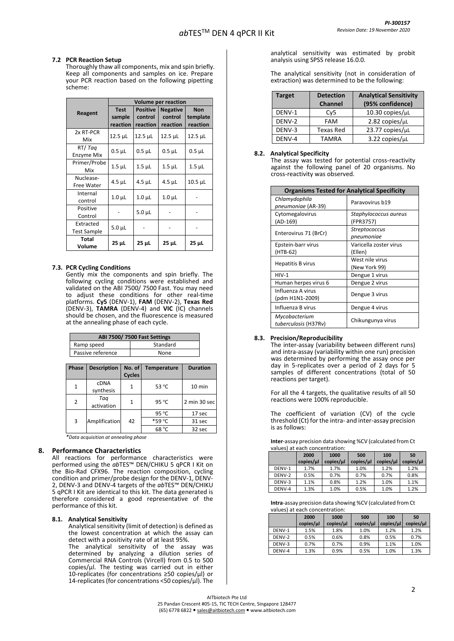#### **7.2 PCR Reaction Setup**

Thoroughly thaw all components, mix and spin briefly. Keep all components and samples on ice. Prepare your PCR reaction based on the following pipetting scheme:

|                    | <b>Volume per reaction</b> |                 |                 |                |  |
|--------------------|----------------------------|-----------------|-----------------|----------------|--|
| Reagent            | <b>Test</b>                | <b>Positive</b> | <b>Negative</b> | <b>Non</b>     |  |
|                    | sample                     | control         | control         | template       |  |
|                    | reaction                   | reaction        | reaction        | reaction       |  |
| 2x RT-PCR          | 12.5 µL                    | 12.5 µL         | 12.5 µL         | $12.5$ $\mu$ L |  |
| Mix                |                            |                 |                 |                |  |
| RT/Tag             | $0.5$ $\mu$ L              | $0.5$ $\mu$ L   | $0.5$ $\mu$ L   | $0.5$ $\mu$ L  |  |
| Enzyme Mix         |                            |                 |                 |                |  |
| Primer/Probe       |                            |                 |                 | $1.5$ $\mu$ L  |  |
| Mix                | $1.5 \mu L$                | $1.5 \mu L$     | $1.5$ $\mu$ L   |                |  |
| Nuclease-          |                            | 4.5 µL          | $4.5$ µL        | $10.5$ $\mu$ L |  |
| Free Water         | $4.5$ µL                   |                 |                 |                |  |
| Internal           | $1.0 \mu L$                | $1.0 \mu L$     | $1.0\mu$ L      |                |  |
| control            |                            |                 |                 |                |  |
| Positive           |                            |                 |                 |                |  |
| Control            |                            | $5.0 \mu L$     |                 |                |  |
| Extracted          |                            |                 |                 |                |  |
| <b>Test Sample</b> | $5.0 \mu L$                |                 |                 |                |  |
| Total              |                            |                 |                 |                |  |
| 25 µL<br>Volume    |                            | $25 \mu L$      | 25 µL           | 25 µL          |  |

#### **7.3. PCR Cycling Conditions**

Gently mix the components and spin briefly. The following cycling conditions were established and validated on the ABI 7500/ 7500 Fast. You may need to adjust these conditions for other real-time platforms. **Cy5** (DENV-1), **FAM** (DENV-2), **Texas Red** (DENV-3), **TAMRA** (DENV-4) and **VIC** (IC) channels should be chosen, and the fluorescence is measured at the annealing phase of each cycle.

|            |       |                          |  |               | ABI 7500/7500 Fast Settings |                 |        |
|------------|-------|--------------------------|--|---------------|-----------------------------|-----------------|--------|
| Ramp speed |       |                          |  |               | Standard                    |                 |        |
|            |       | Passive reference        |  |               | None                        |                 |        |
|            |       |                          |  |               |                             |                 |        |
|            | Phase | <b>Description</b>       |  | No. of        | <b>Temperature</b>          | <b>Duration</b> |        |
|            |       |                          |  | <b>Cycles</b> |                             |                 |        |
|            | 1     | <b>CDNA</b><br>synthesis |  | 1             | 53 °C                       |                 | 10 min |
|            | 2     | Tag<br>activation        |  | 1             | 95 °C                       | 2 min 30 sec    |        |
|            |       |                          |  |               | 95 °C                       | 17 sec          |        |
|            | 3     | Amplification            |  | 42            | *59 °C                      | 31 sec          |        |
|            |       |                          |  |               | 68 °C                       | 32 sec          |        |

*\*Data acquisition at annealing phase*

#### **8. Performance Characteristics**

All reactions for performance characteristics were performed using the *ab*TES™ DEN/CHIKU 5 qPCR I Kit on the Bio-Rad CFX96. The reaction composition, cycling condition and primer/probe design for the DENV-1, DENV-2, DENV-3 and DENV-4 targets of the *ab*TES™ DEN/CHIKU 5 qPCR I Kit are identical to this kit. The data generated is therefore considered a good representative of the performance of this kit.

#### **8.1. Analytical Sensitivity**

Analytical sensitivity (limit of detection) is defined as the lowest concentration at which the assay can detect with a positivity rate of at least 95%.

The analytical sensitivity of the assay was determined by analyzing a dilution series of Commercial RNA Controls (Vircell) from 0.5 to 500  $copies/µl$ . The testing was carried out in either 10-replicates (for concentrations ≥50 copies/µl) or 14-replicates (for concentrations <50 copies/µl). The

analytical sensitivity was estimated by probit analysis using SPSS release 16.0.0.

The analytical sensitivity (not in consideration of extraction) was determined to be the following:

| <b>Target</b> | <b>Analytical Sensitivity</b><br><b>Detection</b> |                        |
|---------------|---------------------------------------------------|------------------------|
|               | <b>Channel</b>                                    | (95% confidence)       |
| DENV-1        | Cv <sub>5</sub>                                   | 10.30 copies/uL        |
| DENV-2        | FAM                                               | $2.82$ copies/ $\mu$ L |
| DENV-3        | <b>Texas Red</b>                                  | 23.77 copies/µL        |
| DENV-4        | TAMRA                                             | 3.22 copies/uL         |

#### **8.2. Analytical Specificity**

The assay was tested for potential cross-reactivity against the following panel of 20 organisms. No cross-reactivity was observed.

| <b>Organisms Tested for Analytical Specificity</b> |                                    |  |  |  |
|----------------------------------------------------|------------------------------------|--|--|--|
| Chlamydophila<br>pneumoniae (AR-39)                | Paravovirus b19                    |  |  |  |
| Cytomegalovirus<br>(AD-169)                        | Staphylococcus aureus<br>(FPR3757) |  |  |  |
| Enterovirus 71 (BrCr)                              | Streptococcus<br>pneumoniae        |  |  |  |
| Epstein-barr virus<br>(HTB-62)                     | Varicella zoster virus<br>(Ellen)  |  |  |  |
| Hepatitis B virus                                  | West nile virus<br>(New York 99)   |  |  |  |
| $HIV-1$                                            | Dengue 1 virus                     |  |  |  |
| Human herpes virus 6                               | Dengue 2 virus                     |  |  |  |
| Influenza A virus<br>(pdm H1N1-2009)               | Dengue 3 virus                     |  |  |  |
| Influenza B virus                                  | Dengue 4 virus                     |  |  |  |
| Mycobacterium<br>tuberculosis (H37Rv)              | Chikungunya virus                  |  |  |  |

#### **8.3. Precision/Reproducibility**

The inter-assay (variability between different runs) and intra-assay (variability within one run) precision was determined by performing the assay once per day in 5-replicates over a period of 2 days for 5 samples of different concentrations (total of 50 reactions per target).

For all the 4 targets, the qualitative results of all 50 reactions were 100% reproducible.

The coefficient of variation (CV) of the cycle threshold (Ct) for the intra- and inter-assay precision is as follows:

**Inter**-assay precision data showing %CV (calculated from Ct values) at each concentration:

|        | 2000<br>copies/µl | 1000<br>copies/µl | 500<br>copies/µl | 100<br>copies/µl | 50<br>copies/µl |
|--------|-------------------|-------------------|------------------|------------------|-----------------|
| DENV-1 | 1.7%              | 1.7%              | 1.0%             | 1.2%             | 1.2%            |
| DENV-2 | 0.5%              | 0.7%              | 0.7%             | 0.7%             | 0.8%            |
| DENV-3 | 1.1%              | 0.8%              | 1.2%             | 1.0%             | 1.1%            |
| DENV-4 | 1.3%              | 1.0%              | 0.5%             | 1.0%             | 1.2%            |

**Intra**-assay precision data showing %CV (calculated from Ct values) at each concentration:

|        | 2000      | 1000      | 500       | 100       | 50        |
|--------|-----------|-----------|-----------|-----------|-----------|
|        | copies/µl | copies/µl | copies/µl | copies/µl | copies/µl |
| DENV-1 | 1.5%      | 1.8%      | 1.0%      | 1.2%      | 1.2%      |
| DENV-2 | 0.5%      | 0.6%      | 0.8%      | 0.5%      | 0.7%      |
| DENV-3 | 0.7%      | 0.7%      | 0.9%      | 1.1%      | 1.0%      |
| DENV-4 | 1.3%      | 0.9%      | 0.5%      | 1.0%      | 1.3%      |